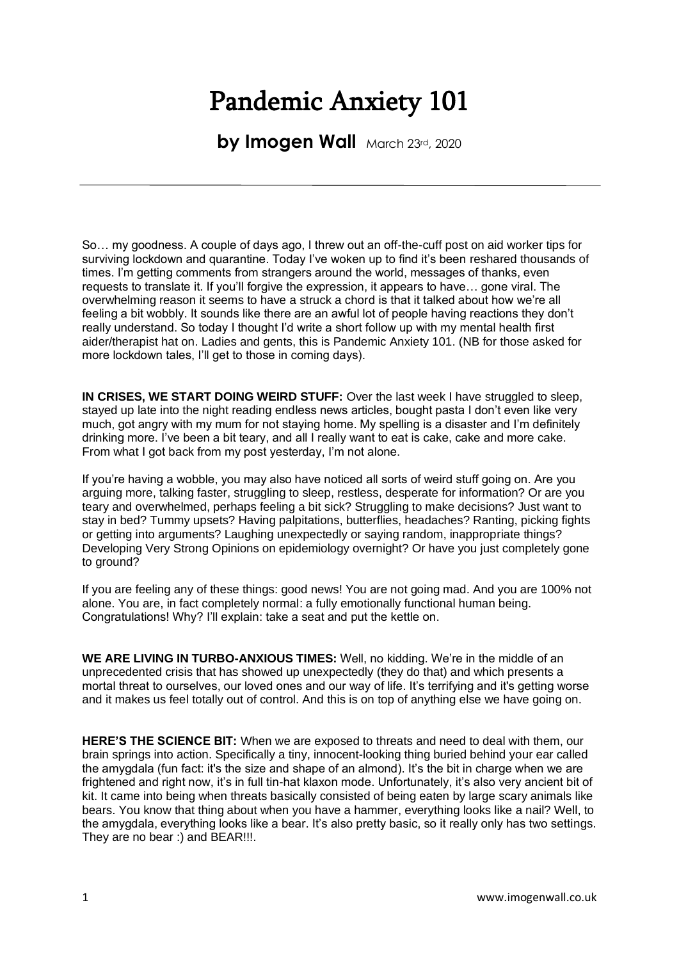## Pandemic Anxiety 101

**by Imogen Wall** March 23rd, 2020

So… my goodness. A couple of days ago, I threw out an off-the-cuff post on aid worker tips for surviving lockdown and quarantine. Today I've woken up to find it's been reshared thousands of times. I'm getting comments from strangers around the world, messages of thanks, even requests to translate it. If you'll forgive the expression, it appears to have… gone viral. The overwhelming reason it seems to have a struck a chord is that it talked about how we're all feeling a bit wobbly. It sounds like there are an awful lot of people having reactions they don't really understand. So today I thought I'd write a short follow up with my mental health first aider/therapist hat on. Ladies and gents, this is Pandemic Anxiety 101. (NB for those asked for more lockdown tales, I'll get to those in coming days).

**IN CRISES, WE START DOING WEIRD STUFF:** Over the last week I have struggled to sleep. stayed up late into the night reading endless news articles, bought pasta I don't even like very much, got angry with my mum for not staying home. My spelling is a disaster and I'm definitely drinking more. I've been a bit teary, and all I really want to eat is cake, cake and more cake. From what I got back from my post yesterday, I'm not alone.

If you're having a wobble, you may also have noticed all sorts of weird stuff going on. Are you arguing more, talking faster, struggling to sleep, restless, desperate for information? Or are you teary and overwhelmed, perhaps feeling a bit sick? Struggling to make decisions? Just want to stay in bed? Tummy upsets? Having palpitations, butterflies, headaches? Ranting, picking fights or getting into arguments? Laughing unexpectedly or saying random, inappropriate things? Developing Very Strong Opinions on epidemiology overnight? Or have you just completely gone to ground?

If you are feeling any of these things: good news! You are not going mad. And you are 100% not alone. You are, in fact completely normal: a fully emotionally functional human being. Congratulations! Why? I'll explain: take a seat and put the kettle on.

**WE ARE LIVING IN TURBO-ANXIOUS TIMES:** Well, no kidding. We're in the middle of an unprecedented crisis that has showed up unexpectedly (they do that) and which presents a mortal threat to ourselves, our loved ones and our way of life. It's terrifying and it's getting worse and it makes us feel totally out of control. And this is on top of anything else we have going on.

**HERE'S THE SCIENCE BIT:** When we are exposed to threats and need to deal with them, our brain springs into action. Specifically a tiny, innocent-looking thing buried behind your ear called the amygdala (fun fact: it's the size and shape of an almond). It's the bit in charge when we are frightened and right now, it's in full tin-hat klaxon mode. Unfortunately, it's also very ancient bit of kit. It came into being when threats basically consisted of being eaten by large scary animals like bears. You know that thing about when you have a hammer, everything looks like a nail? Well, to the amygdala, everything looks like a bear. It's also pretty basic, so it really only has two settings. They are no bear :) and BEAR!!!.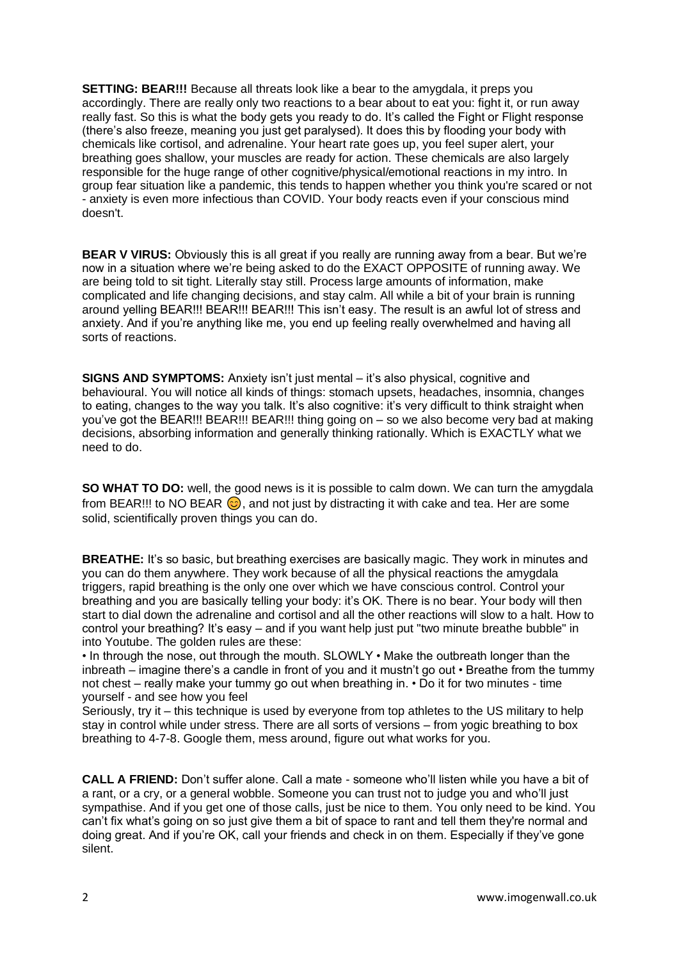**SETTING: BEAR!!!** Because all threats look like a bear to the amygdala, it preps you accordingly. There are really only two reactions to a bear about to eat you: fight it, or run away really fast. So this is what the body gets you ready to do. It's called the Fight or Flight response (there's also freeze, meaning you just get paralysed). It does this by flooding your body with chemicals like cortisol, and adrenaline. Your heart rate goes up, you feel super alert, your breathing goes shallow, your muscles are ready for action. These chemicals are also largely responsible for the huge range of other cognitive/physical/emotional reactions in my intro. In group fear situation like a pandemic, this tends to happen whether you think you're scared or not - anxiety is even more infectious than COVID. Your body reacts even if your conscious mind doesn't.

**BEAR V VIRUS:** Obviously this is all great if you really are running away from a bear. But we're now in a situation where we're being asked to do the EXACT OPPOSITE of running away. We are being told to sit tight. Literally stay still. Process large amounts of information, make complicated and life changing decisions, and stay calm. All while a bit of your brain is running around yelling BEAR!!! BEAR!!! BEAR!!! This isn't easy. The result is an awful lot of stress and anxiety. And if you're anything like me, you end up feeling really overwhelmed and having all sorts of reactions.

**SIGNS AND SYMPTOMS:** Anxiety isn't just mental – it's also physical, cognitive and behavioural. You will notice all kinds of things: stomach upsets, headaches, insomnia, changes to eating, changes to the way you talk. It's also cognitive: it's very difficult to think straight when you've got the BEAR!!! BEAR!!! BEAR!!! thing going on – so we also become very bad at making decisions, absorbing information and generally thinking rationally. Which is EXACTLY what we need to do.

**SO WHAT TO DO:** well, the good news is it is possible to calm down. We can turn the amygdala from BEAR!!! to NO BEAR  $\odot$ , and not just by distracting it with cake and tea. Her are some solid, scientifically proven things you can do.

**BREATHE:** It's so basic, but breathing exercises are basically magic. They work in minutes and you can do them anywhere. They work because of all the physical reactions the amygdala triggers, rapid breathing is the only one over which we have conscious control. Control your breathing and you are basically telling your body: it's OK. There is no bear. Your body will then start to dial down the adrenaline and cortisol and all the other reactions will slow to a halt. How to control your breathing? It's easy – and if you want help just put "two minute breathe bubble" in into Youtube. The golden rules are these:

• In through the nose, out through the mouth. SLOWLY • Make the outbreath longer than the inbreath – imagine there's a candle in front of you and it mustn't go out • Breathe from the tummy not chest – really make your tummy go out when breathing in. • Do it for two minutes - time yourself - and see how you feel

Seriously, try it – this technique is used by everyone from top athletes to the US military to help stay in control while under stress. There are all sorts of versions – from yogic breathing to box breathing to 4-7-8. Google them, mess around, figure out what works for you.

**CALL A FRIEND:** Don't suffer alone. Call a mate - someone who'll listen while you have a bit of a rant, or a cry, or a general wobble. Someone you can trust not to judge you and who'll just sympathise. And if you get one of those calls, just be nice to them. You only need to be kind. You can't fix what's going on so just give them a bit of space to rant and tell them they're normal and doing great. And if you're OK, call your friends and check in on them. Especially if they've gone silent.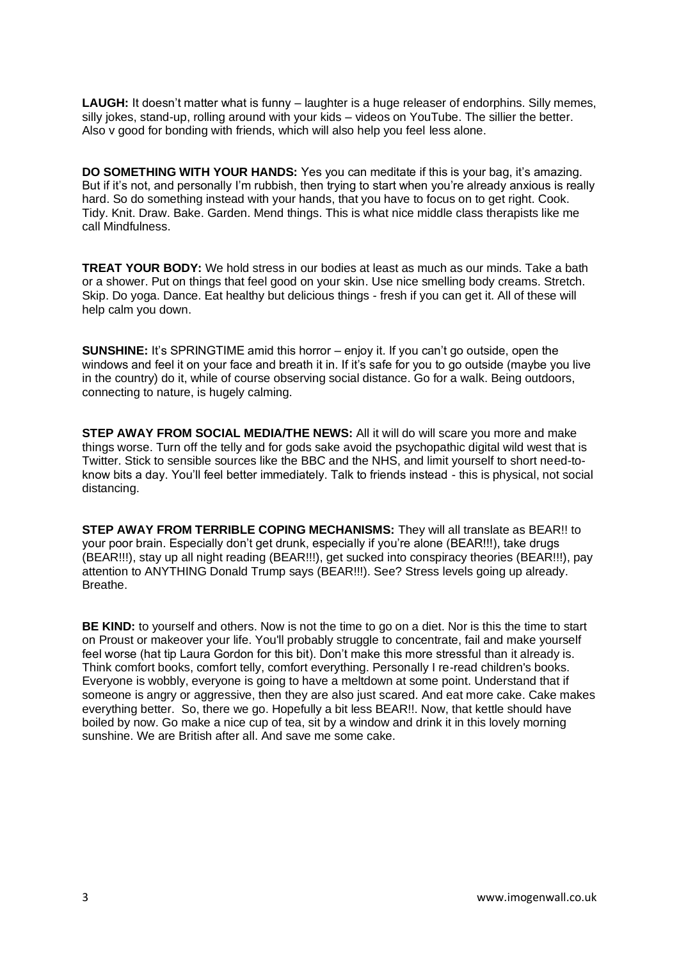**LAUGH:** It doesn't matter what is funny – laughter is a huge releaser of endorphins. Silly memes, silly jokes, stand-up, rolling around with your kids – videos on YouTube. The sillier the better. Also v good for bonding with friends, which will also help you feel less alone.

**DO SOMETHING WITH YOUR HANDS:** Yes you can meditate if this is your bag, it's amazing. But if it's not, and personally I'm rubbish, then trying to start when you're already anxious is really hard. So do something instead with your hands, that you have to focus on to get right. Cook. Tidy. Knit. Draw. Bake. Garden. Mend things. This is what nice middle class therapists like me call Mindfulness.

**TREAT YOUR BODY:** We hold stress in our bodies at least as much as our minds. Take a bath or a shower. Put on things that feel good on your skin. Use nice smelling body creams. Stretch. Skip. Do yoga. Dance. Eat healthy but delicious things - fresh if you can get it. All of these will help calm you down.

**SUNSHINE:** It's SPRINGTIME amid this horror – enjoy it. If you can't go outside, open the windows and feel it on your face and breath it in. If it's safe for you to go outside (maybe you live in the country) do it, while of course observing social distance. Go for a walk. Being outdoors, connecting to nature, is hugely calming.

**STEP AWAY FROM SOCIAL MEDIA/THE NEWS:** All it will do will scare you more and make things worse. Turn off the telly and for gods sake avoid the psychopathic digital wild west that is Twitter. Stick to sensible sources like the BBC and the NHS, and limit yourself to short need-toknow bits a day. You'll feel better immediately. Talk to friends instead - this is physical, not social distancing.

**STEP AWAY FROM TERRIBLE COPING MECHANISMS:** They will all translate as BEAR!! to your poor brain. Especially don't get drunk, especially if you're alone (BEAR!!!), take drugs (BEAR!!!), stay up all night reading (BEAR!!!), get sucked into conspiracy theories (BEAR!!!), pay attention to ANYTHING Donald Trump says (BEAR!!!). See? Stress levels going up already. Breathe.

**BE KIND:** to yourself and others. Now is not the time to go on a diet. Nor is this the time to start on Proust or makeover your life. You'll probably struggle to concentrate, fail and make yourself feel worse (hat tip Laura Gordon for this bit). Don't make this more stressful than it already is. Think comfort books, comfort telly, comfort everything. Personally I re-read children's books. Everyone is wobbly, everyone is going to have a meltdown at some point. Understand that if someone is angry or aggressive, then they are also just scared. And eat more cake. Cake makes everything better. So, there we go. Hopefully a bit less BEAR!!. Now, that kettle should have boiled by now. Go make a nice cup of tea, sit by a window and drink it in this lovely morning sunshine. We are British after all. And save me some cake.